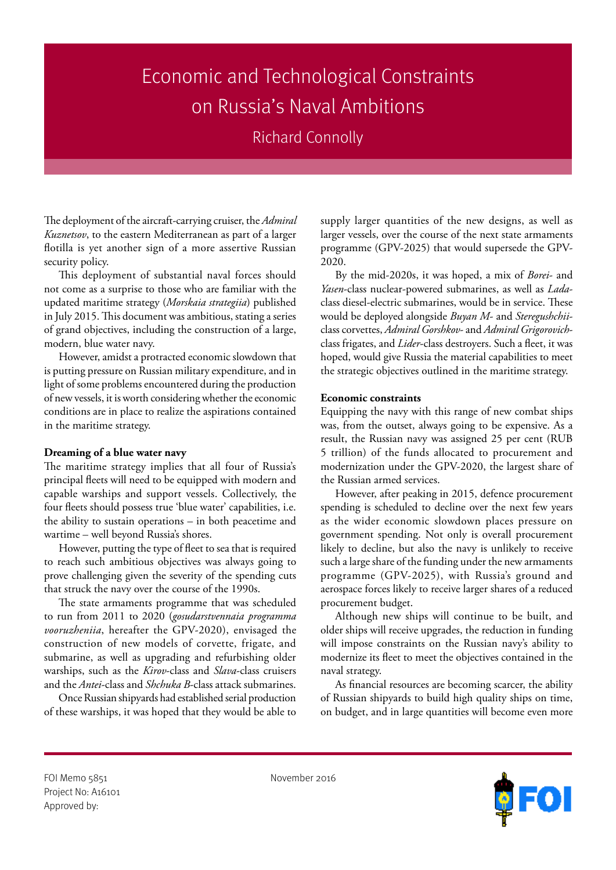## Economic and Technological Constraints on Russia's Naval Ambitions

Richard Connolly

The deployment of the aircraft-carrying cruiser, the *Admiral Kuznetsov*, to the eastern Mediterranean as part of a larger flotilla is yet another sign of a more assertive Russian security policy.

This deployment of substantial naval forces should not come as a surprise to those who are familiar with the updated maritime strategy (*Morskaia strategiia*) published in July 2015. This document was ambitious, stating a series of grand objectives, including the construction of a large, modern, blue water navy.

However, amidst a protracted economic slowdown that is putting pressure on Russian military expenditure, and in light of some problems encountered during the production of new vessels, it is worth considering whether the economic conditions are in place to realize the aspirations contained in the maritime strategy.

## **Dreaming of a blue water navy**

The maritime strategy implies that all four of Russia's principal fleets will need to be equipped with modern and capable warships and support vessels. Collectively, the four fleets should possess true 'blue water' capabilities, i.e. the ability to sustain operations – in both peacetime and wartime – well beyond Russia's shores.

However, putting the type of fleet to sea that is required to reach such ambitious objectives was always going to prove challenging given the severity of the spending cuts that struck the navy over the course of the 1990s.

The state armaments programme that was scheduled to run from 2011 to 2020 (*gosudarstvennaia programma vooruzheniia*, hereafter the GPV-2020), envisaged the construction of new models of corvette, frigate, and submarine, as well as upgrading and refurbishing older warships, such as the *Kirov*-class and *Slava*-class cruisers and the *Antei*-class and *Shchuka B*-class attack submarines.

Once Russian shipyards had established serial production of these warships, it was hoped that they would be able to

supply larger quantities of the new designs, as well as larger vessels, over the course of the next state armaments programme (GPV-2025) that would supersede the GPV-2020.

By the mid-2020s, it was hoped, a mix of *Borei*- and *Yasen*-class nuclear-powered submarines, as well as *Lada*class diesel-electric submarines, would be in service. These would be deployed alongside *Buyan M*- and *Steregushchii*class corvettes, *Admiral Gorshkov*- and *Admiral Grigorovich*class frigates, and *Lider*-class destroyers. Such a fleet, it was hoped, would give Russia the material capabilities to meet the strategic objectives outlined in the maritime strategy.

## **Economic constraints**

Equipping the navy with this range of new combat ships was, from the outset, always going to be expensive. As a result, the Russian navy was assigned 25 per cent (RUB 5 trillion) of the funds allocated to procurement and modernization under the GPV-2020, the largest share of the Russian armed services.

However, after peaking in 2015, defence procurement spending is scheduled to decline over the next few years as the wider economic slowdown places pressure on government spending. Not only is overall procurement likely to decline, but also the navy is unlikely to receive such a large share of the funding under the new armaments programme (GPV-2025), with Russia's ground and aerospace forces likely to receive larger shares of a reduced procurement budget.

Although new ships will continue to be built, and older ships will receive upgrades, the reduction in funding will impose constraints on the Russian navy's ability to modernize its fleet to meet the objectives contained in the naval strategy.

As financial resources are becoming scarcer, the ability of Russian shipyards to build high quality ships on time, on budget, and in large quantities will become even more

FOI Memo 5851 November 2016 Project No: A16101 Approved by: